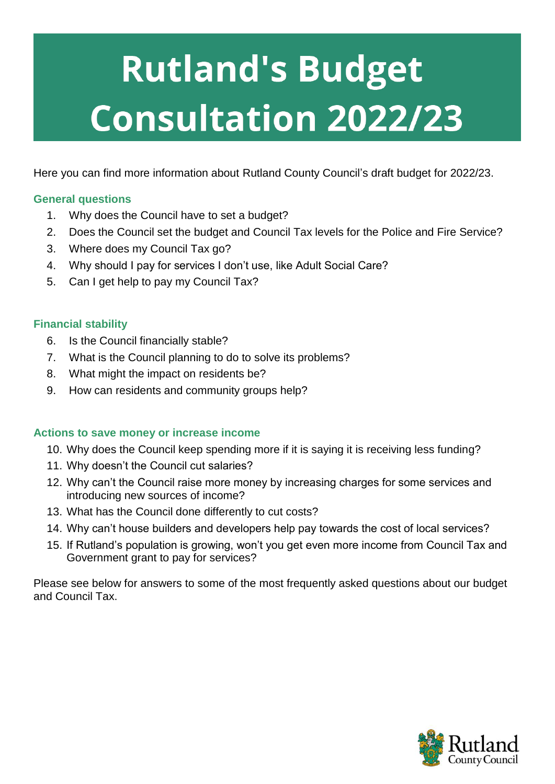# **Rutland's Budget Consultation 2022/23**

Here you can find more information about Rutland County Council's draft budget for 2022/23.

## **General questions**

- 1. Why does the Council have to set a budget?
- 2. Does the Council set the budget and Council Tax levels for the Police and Fire Service?
- 3. Where does my Council Tax go?
- 4. Why should I pay for services I don't use, like Adult Social Care?
- 5. Can I get help to pay my Council Tax?

## **Financial stability**

- 6. Is the Council financially stable?
- 7. What is the Council planning to do to solve its problems?
- 8. What might the impact on residents be?
- 9. How can residents and community groups help?

## **Actions to save money or increase income**

- 10. Why does the Council keep spending more if it is saying it is receiving less funding?
- 11. Why doesn't the Council cut salaries?
- 12. Why can't the Council raise more money by increasing charges for some services and introducing new sources of income?
- 13. What has the Council done differently to cut costs?
- 14. Why can't house builders and developers help pay towards the cost of local services?
- 15. If Rutland's population is growing, won't you get even more income from Council Tax and Government grant to pay for services?

Please see below for answers to some of the most frequently asked questions about our budget and Council Tax.

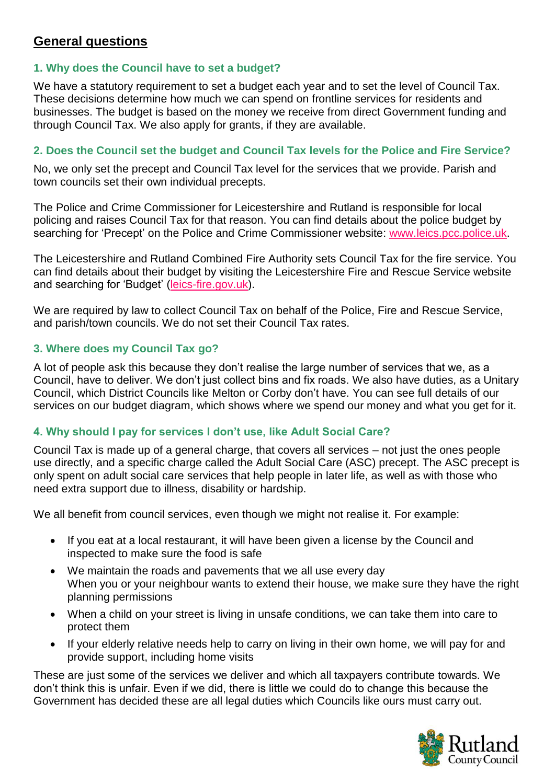# **General questions**

## **1. Why does the Council have to set a budget?**

We have a statutory requirement to set a budget each year and to set the level of Council Tax. These decisions determine how much we can spend on frontline services for residents and businesses. The budget is based on the money we receive from direct Government funding and through Council Tax. We also apply for grants, if they are available.

## **2. Does the Council set the budget and Council Tax levels for the Police and Fire Service?**

No, we only set the precept and Council Tax level for the services that we provide. Parish and town councils set their own individual precepts.

The Police and Crime Commissioner for Leicestershire and Rutland is responsible for local policing and raises Council Tax for that reason. You can find details about the police budget by searching for 'Precept' on the Police and Crime Commissioner website: [www.leics.pcc.police.uk.](http://www.leics.pcc.police.uk/)

The Leicestershire and Rutland Combined Fire Authority sets Council Tax for the fire service. You can find details about their budget by visiting the Leicestershire Fire and Rescue Service website and searching for 'Budget' [\(leics-fire.gov.uk\)](http://leics-fire.gov.uk/).

We are required by law to collect Council Tax on behalf of the Police, Fire and Rescue Service, and parish/town councils. We do not set their Council Tax rates.

### **3. Where does my Council Tax go?**

A lot of people ask this because they don't realise the large number of services that we, as a Council, have to deliver. We don't just collect bins and fix roads. We also have duties, as a Unitary Council, which District Councils like Melton or Corby don't have. You can see full details of our services on our budget diagram, which shows where we spend our money and what you get for it.

## **4. Why should I pay for services I don't use, like Adult Social Care?**

Council Tax is made up of a general charge, that covers all services – not just the ones people use directly, and a specific charge called the Adult Social Care (ASC) precept. The ASC precept is only spent on adult social care services that help people in later life, as well as with those who need extra support due to illness, disability or hardship.

We all benefit from council services, even though we might not realise it. For example:

- If you eat at a local restaurant, it will have been given a license by the Council and inspected to make sure the food is safe
- We maintain the roads and pavements that we all use every day When you or your neighbour wants to extend their house, we make sure they have the right planning permissions
- When a child on your street is living in unsafe conditions, we can take them into care to protect them
- If your elderly relative needs help to carry on living in their own home, we will pay for and provide support, including home visits

These are just some of the services we deliver and which all taxpayers contribute towards. We don't think this is unfair. Even if we did, there is little we could do to change this because the Government has decided these are all legal duties which Councils like ours must carry out.

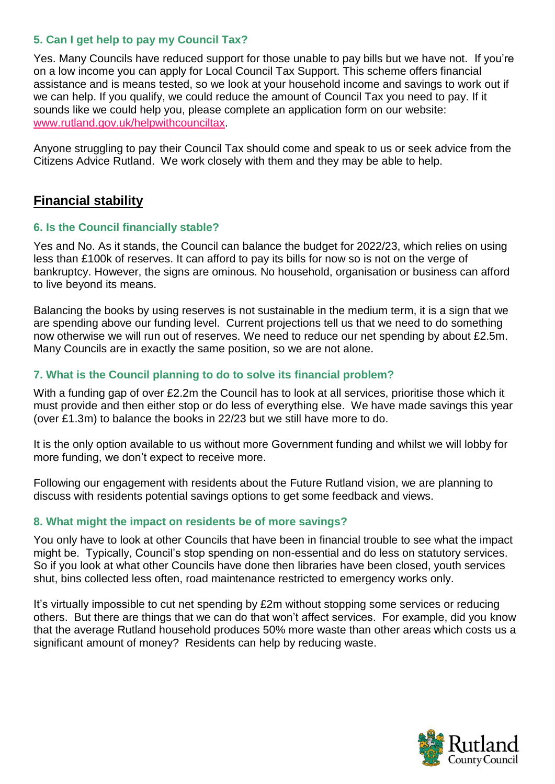## **5. Can I get help to pay my Council Tax?**

Yes. Many Councils have reduced support for those unable to pay bills but we have not. If you're on a low income you can apply for Local Council Tax Support. This scheme offers financial assistance and is means tested, so we look at your household income and savings to work out if we can help. If you qualify, we could reduce the amount of Council Tax you need to pay. If it sounds like we could help you, please complete an application form on our website: [www.rutland.gov.uk/helpwithcounciltax.](http://www.rutland.gov.uk/helpwithcounciltax)

Anyone struggling to pay their Council Tax should come and speak to us or seek advice from the Citizens Advice Rutland. We work closely with them and they may be able to help.

# **Financial stability**

### **6. Is the Council financially stable?**

Yes and No. As it stands, the Council can balance the budget for 2022/23, which relies on using less than £100k of reserves. It can afford to pay its bills for now so is not on the verge of bankruptcy. However, the signs are ominous. No household, organisation or business can afford to live beyond its means.

Balancing the books by using reserves is not sustainable in the medium term, it is a sign that we are spending above our funding level. Current projections tell us that we need to do something now otherwise we will run out of reserves. We need to reduce our net spending by about £2.5m. Many Councils are in exactly the same position, so we are not alone.

## **7. What is the Council planning to do to solve its financial problem?**

With a funding gap of over £2.2m the Council has to look at all services, prioritise those which it must provide and then either stop or do less of everything else. We have made savings this year (over £1.3m) to balance the books in 22/23 but we still have more to do.

It is the only option available to us without more Government funding and whilst we will lobby for more funding, we don't expect to receive more.

Following our engagement with residents about the Future Rutland vision, we are planning to discuss with residents potential savings options to get some feedback and views.

## **8. What might the impact on residents be of more savings?**

You only have to look at other Councils that have been in financial trouble to see what the impact might be. Typically, Council's stop spending on non-essential and do less on statutory services. So if you look at what other Councils have done then libraries have been closed, youth services shut, bins collected less often, road maintenance restricted to emergency works only.

It's virtually impossible to cut net spending by £2m without stopping some services or reducing others. But there are things that we can do that won't affect services. For example, did you know that the average Rutland household produces 50% more waste than other areas which costs us a significant amount of money? Residents can help by reducing waste.

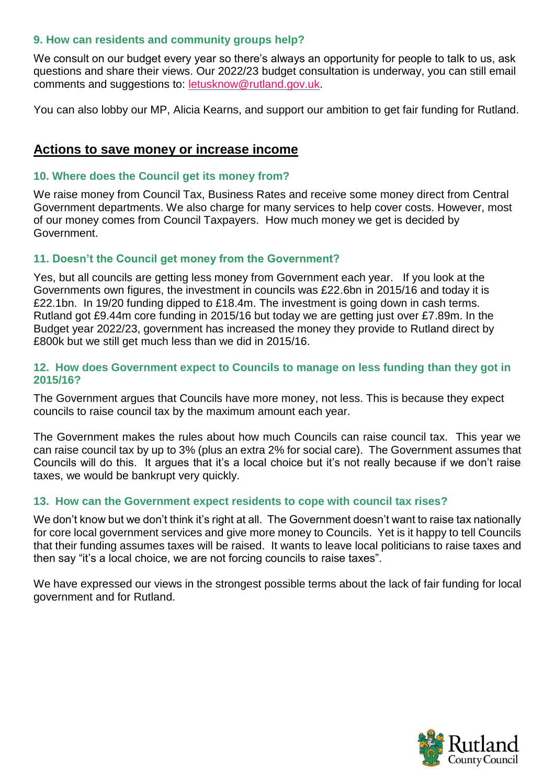## **9. How can residents and community groups help?**

We consult on our budget every year so there's always an opportunity for people to talk to us, ask questions and share their views. Our 2022/23 budget consultation is underway, you can still email comments and suggestions to: [letusknow@rutland.gov.uk.](mailto:letusknow@rutland.gov.uk)

You can also lobby our MP, Alicia Kearns, and support our ambition to get fair funding for Rutland.

# **Actions to save money or increase income**

## **10. Where does the Council get its money from?**

We raise money from Council Tax, Business Rates and receive some money direct from Central Government departments. We also charge for many services to help cover costs. However, most of our money comes from Council Taxpayers. How much money we get is decided by Government.

## **11. Doesn't the Council get money from the Government?**

Yes, but all councils are getting less money from Government each year. If you look at the Governments own figures, the investment in councils was £22.6bn in 2015/16 and today it is £22.1bn. In 19/20 funding dipped to £18.4m. The investment is going down in cash terms. Rutland got £9.44m core funding in 2015/16 but today we are getting just over £7.89m. In the Budget year 2022/23, government has increased the money they provide to Rutland direct by £800k but we still get much less than we did in 2015/16.

### **12. How does Government expect to Councils to manage on less funding than they got in 2015/16?**

The Government argues that Councils have more money, not less. This is because they expect councils to raise council tax by the maximum amount each year.

The Government makes the rules about how much Councils can raise council tax. This year we can raise council tax by up to 3% (plus an extra 2% for social care). The Government assumes that Councils will do this. It argues that it's a local choice but it's not really because if we don't raise taxes, we would be bankrupt very quickly.

## **13. How can the Government expect residents to cope with council tax rises?**

We don't know but we don't think it's right at all. The Government doesn't want to raise tax nationally for core local government services and give more money to Councils. Yet is it happy to tell Councils that their funding assumes taxes will be raised. It wants to leave local politicians to raise taxes and then say "it's a local choice, we are not forcing councils to raise taxes".

We have expressed our views in the strongest possible terms about the lack of fair funding for local government and for Rutland.

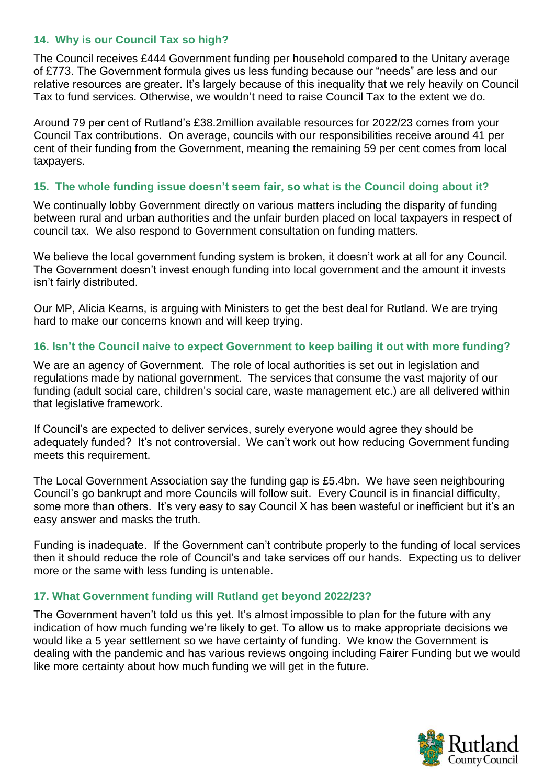## **14. Why is our Council Tax so high?**

The Council receives £444 Government funding per household compared to the Unitary average of £773. The Government formula gives us less funding because our "needs" are less and our relative resources are greater. It's largely because of this inequality that we rely heavily on Council Tax to fund services. Otherwise, we wouldn't need to raise Council Tax to the extent we do.

Around 79 per cent of Rutland's £38.2million available resources for 2022/23 comes from your Council Tax contributions. On average, councils with our responsibilities receive around 41 per cent of their funding from the Government, meaning the remaining 59 per cent comes from local taxpayers.

## **15. The whole funding issue doesn't seem fair, so what is the Council doing about it?**

We continually lobby Government directly on various matters including the disparity of funding between rural and urban authorities and the unfair burden placed on local taxpayers in respect of council tax. We also respond to Government consultation on funding matters.

We believe the local government funding system is broken, it doesn't work at all for any Council. The Government doesn't invest enough funding into local government and the amount it invests isn't fairly distributed.

Our MP, Alicia Kearns, is arguing with Ministers to get the best deal for Rutland. We are trying hard to make our concerns known and will keep trying.

## **16. Isn't the Council naive to expect Government to keep bailing it out with more funding?**

We are an agency of Government. The role of local authorities is set out in legislation and regulations made by national government. The services that consume the vast majority of our funding (adult social care, children's social care, waste management etc.) are all delivered within that legislative framework.

If Council's are expected to deliver services, surely everyone would agree they should be adequately funded? It's not controversial. We can't work out how reducing Government funding meets this requirement.

The Local Government Association say the funding gap is £5.4bn. We have seen neighbouring Council's go bankrupt and more Councils will follow suit. Every Council is in financial difficulty, some more than others. It's very easy to say Council X has been wasteful or inefficient but it's an easy answer and masks the truth.

Funding is inadequate. If the Government can't contribute properly to the funding of local services then it should reduce the role of Council's and take services off our hands. Expecting us to deliver more or the same with less funding is untenable.

### **17. What Government funding will Rutland get beyond 2022/23?**

The Government haven't told us this yet. It's almost impossible to plan for the future with any indication of how much funding we're likely to get. To allow us to make appropriate decisions we would like a 5 year settlement so we have certainty of funding. We know the Government is dealing with the pandemic and has various reviews ongoing including Fairer Funding but we would like more certainty about how much funding we will get in the future.

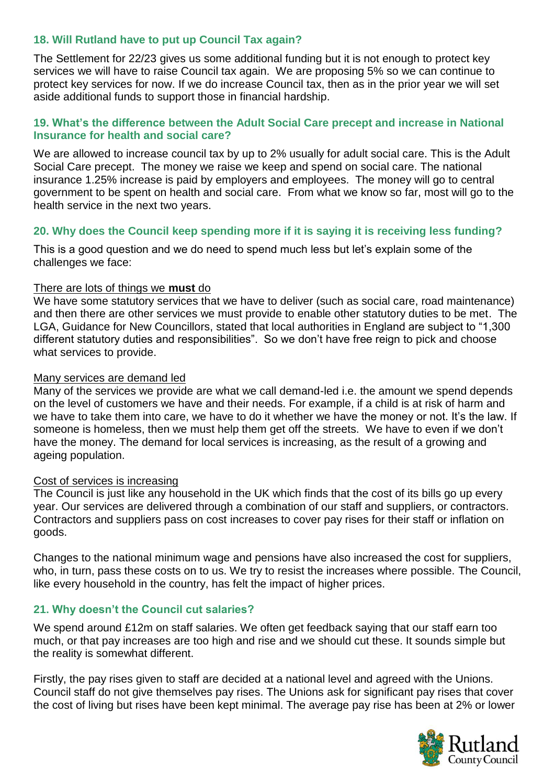## **18. Will Rutland have to put up Council Tax again?**

The Settlement for 22/23 gives us some additional funding but it is not enough to protect key services we will have to raise Council tax again. We are proposing 5% so we can continue to protect key services for now. If we do increase Council tax, then as in the prior year we will set aside additional funds to support those in financial hardship.

## **19. What's the difference between the Adult Social Care precept and increase in National Insurance for health and social care?**

We are allowed to increase council tax by up to 2% usually for adult social care. This is the Adult Social Care precept. The money we raise we keep and spend on social care. The national insurance 1.25% increase is paid by employers and employees. The money will go to central government to be spent on health and social care. From what we know so far, most will go to the health service in the next two years.

## **20. Why does the Council keep spending more if it is saying it is receiving less funding?**

This is a good question and we do need to spend much less but let's explain some of the challenges we face:

### There are lots of things we **must** do

We have some statutory services that we have to deliver (such as social care, road maintenance) and then there are other services we must provide to enable other statutory duties to be met. The LGA, Guidance for New Councillors, stated that local authorities in England are subject to "1,300 different statutory duties and responsibilities". So we don't have free reign to pick and choose what services to provide.

#### Many services are demand led

Many of the services we provide are what we call demand-led i.e. the amount we spend depends on the level of customers we have and their needs. For example, if a child is at risk of harm and we have to take them into care, we have to do it whether we have the money or not. It's the law. If someone is homeless, then we must help them get off the streets. We have to even if we don't have the money. The demand for local services is increasing, as the result of a growing and ageing population.

## Cost of services is increasing

The Council is just like any household in the UK which finds that the cost of its bills go up every year. Our services are delivered through a combination of our staff and suppliers, or contractors. Contractors and suppliers pass on cost increases to cover pay rises for their staff or inflation on goods.

Changes to the national minimum wage and pensions have also increased the cost for suppliers, who, in turn, pass these costs on to us. We try to resist the increases where possible. The Council, like every household in the country, has felt the impact of higher prices.

### **21. Why doesn't the Council cut salaries?**

We spend around £12m on staff salaries. We often get feedback saying that our staff earn too much, or that pay increases are too high and rise and we should cut these. It sounds simple but the reality is somewhat different.

Firstly, the pay rises given to staff are decided at a national level and agreed with the Unions. Council staff do not give themselves pay rises. The Unions ask for significant pay rises that cover the cost of living but rises have been kept minimal. The average pay rise has been at 2% or lower